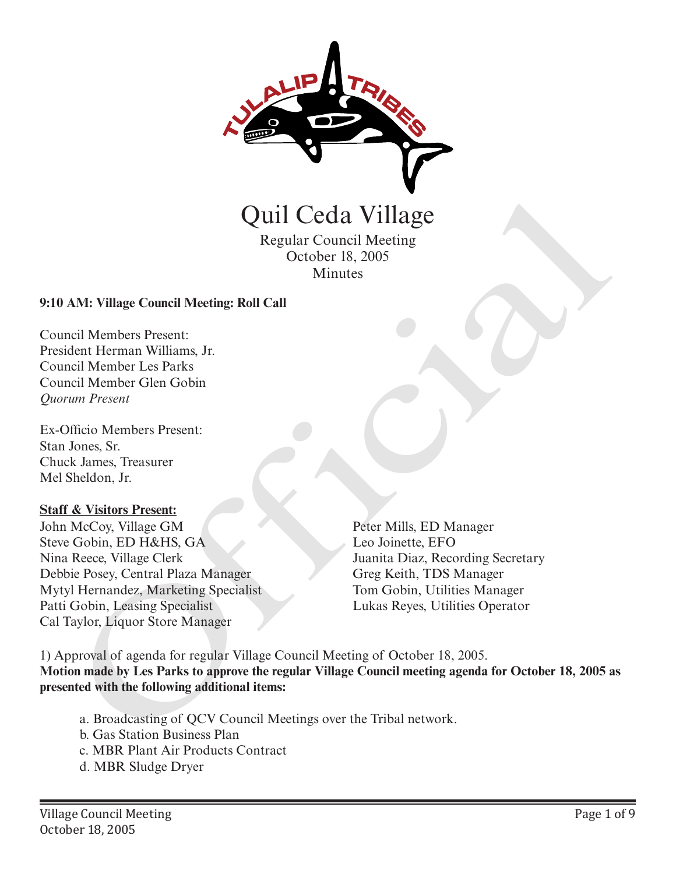

Regular Council Meeting October 18, 2005 Minutes

#### **9:10 AM: Village Council Meeting: Roll Call**

Council Members Present: President Herman Williams, Jr. Council Member Les Parks Council Member Glen Gobin *Quorum Present*

Ex-Officio Members Present: Stan Jones, Sr. Chuck James, Treasurer Mel Sheldon, Jr.

#### **Staff & Visitors Present:**

John McCoy, Village GM Steve Gobin, ED H&HS, GA Nina Reece, Village Clerk Debbie Posey, Central Plaza Manager Mytyl Hernandez, Marketing Specialist Patti Gobin, Leasing Specialist Cal Taylor, Liquor Store Manager

Peter Mills, ED Manager Leo Joinette, EFO Juanita Diaz, Recording Secretary Greg Keith, TDS Manager Tom Gobin, Utilities Manager

1) Approval of agenda for regular Village Council Meeting of October 18, 2005. **Motion made by Les Parks to approve the regular Village Council meeting agenda for October 18, 2005 as presented with the following additional items: CHAT COMET CONTRES REVAIL CONTRES REVAILS (SCELUME CONTRESS)**<br>
AN: Village Council Meething: Roll Call<br>
and Members Present:<br>
dent Herman Williams, Jr.<br>
and Member Gien Gobin<br>
will Member Gien Gobin<br>
will Member Cien Gobi

- a. Broadcasting of QCV Council Meetings over the Tribal network.
- b. Gas Station Business Plan
- c. MBR Plant Air Products Contract
- d. MBR Sludge Dryer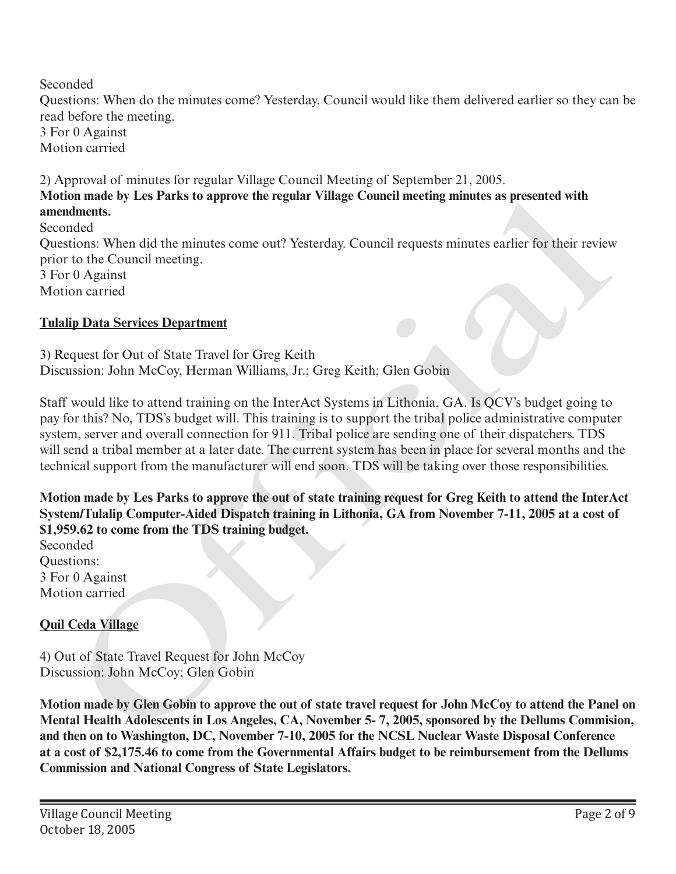Seconded Questions: When do the minutes come? Yesterday. Council would like them delivered earlier so they can be read before the meeting. 3 For 0 Against Motion carried

2) Approval of minutes for regular Village Council Meeting of September 21, 2005. **Motion made by Les Parks to approve the regular Village Council meeting minutes as presented with amendments.** 

Seconded Questions: When did the minutes come out? Yesterday. Council requests minutes earlier for their review prior to the Council meeting. 3 For 0 Against Motion carried

## **Tulalip Data Services Department**

3) Request for Out of State Travel for Greg Keith Discussion: John McCoy, Herman Williams, Jr.; Greg Keith; Glen Gobin

Staff would like to attend training on the InterAct Systems in Lithonia, GA. Is QCV's budget going to pay for this? No, TDS's budget will. This training is to support the tribal police administrative computer system, server and overall connection for 911. Tribal police are sending one of their dispatchers. TDS will send a tribal member at a later date. The current system has been in place for several months and the technical support from the manufacturer will end soon. TDS will be taking over those responsibilities. not mande by Les Parks to approve the regular vitage Council meeting minutes as presented with<br>adments.<br>
Indeed<br>
included internal meeting.<br>
The Council meeting and the minutes come out? Yesterday. Council requests minutes

**Motion made by Les Parks to approve the out of state training request for Greg Keith to attend the InterAct System/Tulalip Computer-Aided Dispatch training in Lithonia, GA from November 7-11, 2005 at a cost of \$1,959.62 to come from the TDS training budget.**

Seconded Questions: 3 For 0 Against Motion carried

# **Quil Ceda Village**

4) Out of State Travel Request for John McCoy Discussion: John McCoy; Glen Gobin

**Motion made by Glen Gobin to approve the out of state travel request for John McCoy to attend the Panel on Mental Health Adolescents in Los Angeles, CA, November 5- 7, 2005, sponsored by the Dellums Commision, and then on to Washington, DC, November 7-10, 2005 for the NCSL Nuclear Waste Disposal Conference at a cost of \$2,175.46 to come from the Governmental Affairs budget to be reimbursement from the Dellums Commission and National Congress of State Legislators.**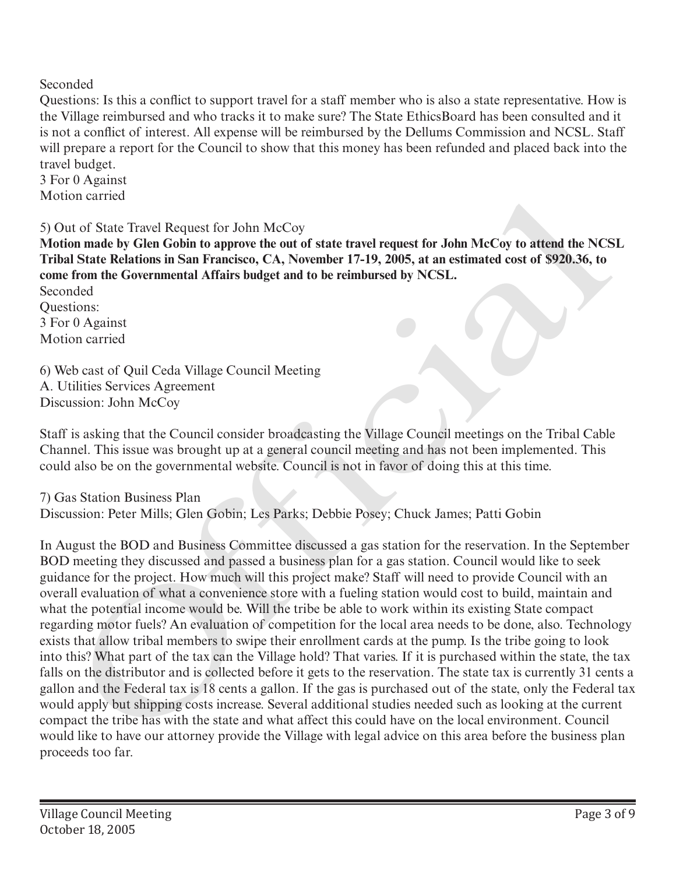Seconded

Questions: Is this a conflict to support travel for a staff member who is also a state representative. How is the Village reimbursed and who tracks it to make sure? The State EthicsBoard has been consulted and it is not a conflict of interest. All expense will be reimbursed by the Dellums Commission and NCSL. Staff will prepare a report for the Council to show that this money has been refunded and placed back into the travel budget.

3 For 0 Against Motion carried

5) Out of State Travel Request for John McCoy

**Motion made by Glen Gobin to approve the out of state travel request for John McCoy to attend the NCSL Tribal State Relations in San Francisco, CA, November 17-19, 2005, at an estimated cost of \$920.36, to come from the Governmental Affairs budget and to be reimbursed by NCSL.** Seconded

Questions: 3 For 0 Against Motion carried

6) Web cast of Quil Ceda Village Council Meeting A. Utilities Services Agreement Discussion: John McCoy

Staff is asking that the Council consider broadcasting the Village Council meetings on the Tribal Cable Channel. This issue was brought up at a general council meeting and has not been implemented. This could also be on the governmental website. Council is not in favor of doing this at this time.

7) Gas Station Business Plan

Discussion: Peter Mills; Glen Gobin; Les Parks; Debbie Posey; Chuck James; Patti Gobin

In August the BOD and Business Committee discussed a gas station for the reservation. In the September BOD meeting they discussed and passed a business plan for a gas station. Council would like to seek guidance for the project. How much will this project make? Staff will need to provide Council with an overall evaluation of what a convenience store with a fueling station would cost to build, maintain and what the potential income would be. Will the tribe be able to work within its existing State compact regarding motor fuels? An evaluation of competition for the local area needs to be done, also. Technology exists that allow tribal members to swipe their enrollment cards at the pump. Is the tribe going to look into this? What part of the tax can the Village hold? That varies. If it is purchased within the state, the tax falls on the distributor and is collected before it gets to the reservation. The state tax is currently 31 cents a gallon and the Federal tax is 18 cents a gallon. If the gas is purchased out of the state, only the Federal tax would apply but shipping costs increase. Several additional studies needed such as looking at the current compact the tribe has with the state and what affect this could have on the local environment. Council would like to have our attorney provide the Village with legal advice on this area before the business plan proceeds too far. on carried<br>at of State Travel Request for John McCoy<br>or on made by Glen Gobin to approve the out of state travel request for John McCoy to attend the NCS<br>or on made by Glen Gobin to approve the out of state travel request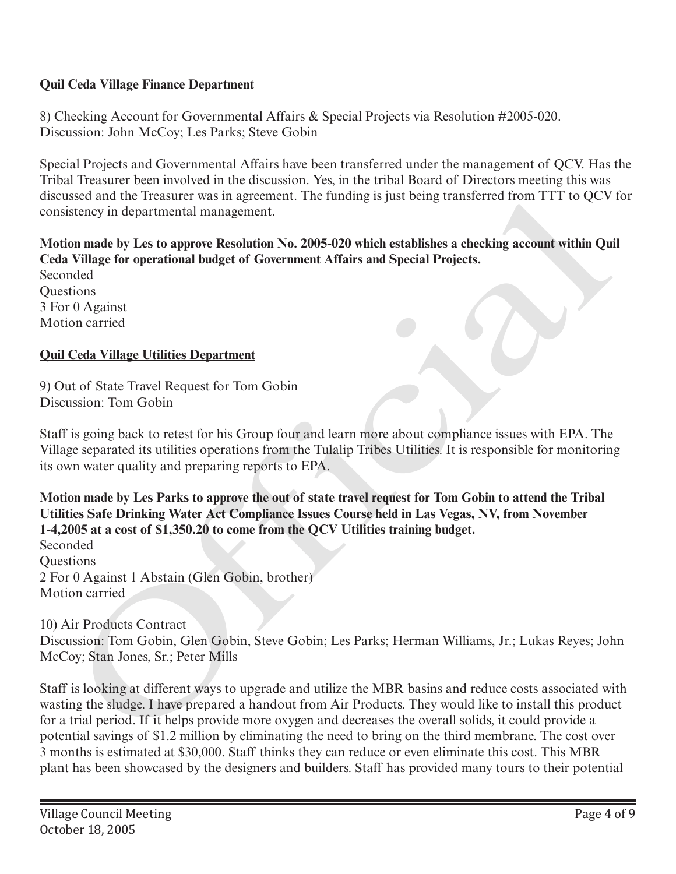## **Quil Ceda Village Finance Department**

8) Checking Account for Governmental Affairs & Special Projects via Resolution #2005-020. Discussion: John McCoy; Les Parks; Steve Gobin

Special Projects and Governmental Affairs have been transferred under the management of QCV. Has the Tribal Treasurer been involved in the discussion. Yes, in the tribal Board of Directors meeting this was discussed and the Treasurer was in agreement. The funding is just being transferred from TTT to QCV for consistency in departmental management.

**Motion made by Les to approve Resolution No. 2005-020 which establishes a checking account within Quil Ceda Village for operational budget of Government Affairs and Special Projects.**

Seconded **Ouestions** 3 For 0 Against Motion carried

## **Quil Ceda Village Utilities Department**

9) Out of State Travel Request for Tom Gobin Discussion: Tom Gobin

Staff is going back to retest for his Group four and learn more about compliance issues with EPA. The Village separated its utilities operations from the Tulalip Tribes Utilities. It is responsible for monitoring its own water quality and preparing reports to EPA.

**Motion made by Les Parks to approve the out of state travel request for Tom Gobin to attend the Tribal Utilities Safe Drinking Water Act Compliance Issues Course held in Las Vegas, NV, from November 1-4,2005 at a cost of \$1,350.20 to come from the QCV Utilities training budget.** Seconded

Questions 2 For 0 Against 1 Abstain (Glen Gobin, brother) Motion carried

## 10) Air Products Contract

Discussion: Tom Gobin, Glen Gobin, Steve Gobin; Les Parks; Herman Williams, Jr.; Lukas Reyes; John McCoy; Stan Jones, Sr.; Peter Mills

Staff is looking at different ways to upgrade and utilize the MBR basins and reduce costs associated with wasting the sludge. I have prepared a handout from Air Products. They would like to install this product for a trial period. If it helps provide more oxygen and decreases the overall solids, it could provide a potential savings of \$1.2 million by eliminating the need to bring on the third membrane. The cost over 3 months is estimated at \$30,000. Staff thinks they can reduce or even eliminate this cost. This MBR plant has been showcased by the designers and builders. Staff has provided many tours to their potential issed and the freature was in agreement. The funding is just being transferred from 11116 QCV<br>isticucy in departmental management.<br>
in made by Les to approve Resolution No. 2005-020 which establishes a checking account wit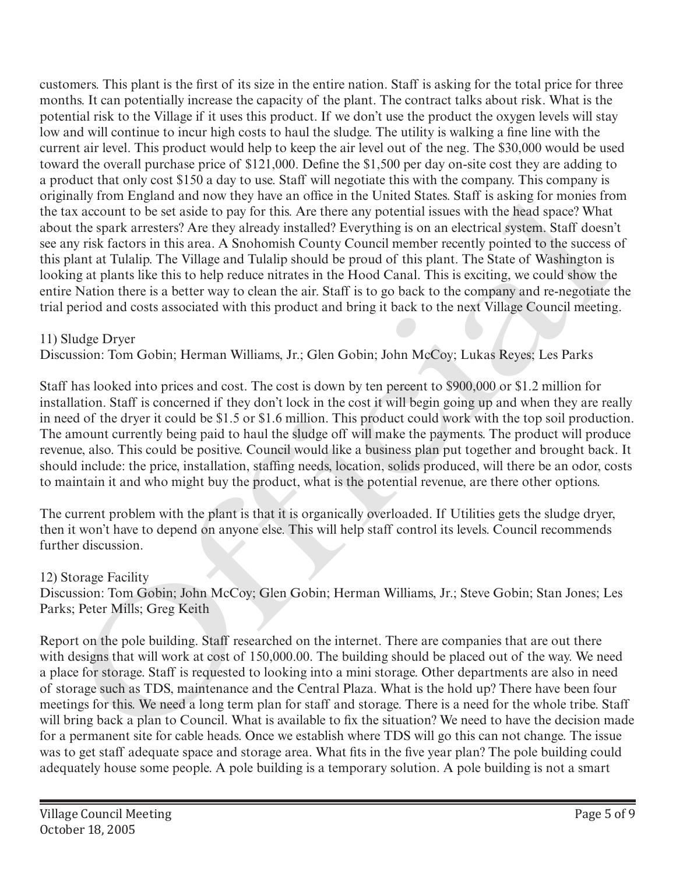customers. This plant is the first of its size in the entire nation. Staff is asking for the total price for three months. It can potentially increase the capacity of the plant. The contract talks about risk. What is the potential risk to the Village if it uses this product. If we don't use the product the oxygen levels will stay low and will continue to incur high costs to haul the sludge. The utility is walking a fine line with the current air level. This product would help to keep the air level out of the neg. The \$30,000 would be used toward the overall purchase price of \$121,000. Define the \$1,500 per day on-site cost they are adding to a product that only cost \$150 a day to use. Staff will negotiate this with the company. This company is originally from England and now they have an office in the United States. Staff is asking for monies from the tax account to be set aside to pay for this. Are there any potential issues with the head space? What about the spark arresters? Are they already installed? Everything is on an electrical system. Staff doesn't see any risk factors in this area. A Snohomish County Council member recently pointed to the success of this plant at Tulalip. The Village and Tulalip should be proud of this plant. The State of Washington is looking at plants like this to help reduce nitrates in the Hood Canal. This is exciting, we could show the entire Nation there is a better way to clean the air. Staff is to go back to the company and re-negotiate the trial period and costs associated with this product and bring it back to the next Village Council meeting. many from Finghand and now they have an ombe in the folida Stater Start is asking for monetary<br>as account to be set aside to pay for this Are there any potential issues with the head space? What<br>the space as account to be

## 11) Sludge Dryer

Discussion: Tom Gobin; Herman Williams, Jr.; Glen Gobin; John McCoy; Lukas Reyes; Les Parks

Staff has looked into prices and cost. The cost is down by ten percent to \$900,000 or \$1.2 million for installation. Staff is concerned if they don't lock in the cost it will begin going up and when they are really in need of the dryer it could be \$1.5 or \$1.6 million. This product could work with the top soil production. The amount currently being paid to haul the sludge off will make the payments. The product will produce revenue, also. This could be positive. Council would like a business plan put together and brought back. It should include: the price, installation, staffing needs, location, solids produced, will there be an odor, costs to maintain it and who might buy the product, what is the potential revenue, are there other options.

The current problem with the plant is that it is organically overloaded. If Utilities gets the sludge dryer, then it won't have to depend on anyone else. This will help staff control its levels. Council recommends further discussion.

## 12) Storage Facility

Discussion: Tom Gobin; John McCoy; Glen Gobin; Herman Williams, Jr.; Steve Gobin; Stan Jones; Les Parks; Peter Mills; Greg Keith

Report on the pole building. Staff researched on the internet. There are companies that are out there with designs that will work at cost of 150,000.00. The building should be placed out of the way. We need a place for storage. Staff is requested to looking into a mini storage. Other departments are also in need of storage such as TDS, maintenance and the Central Plaza. What is the hold up? There have been four meetings for this. We need a long term plan for staff and storage. There is a need for the whole tribe. Staff will bring back a plan to Council. What is available to fix the situation? We need to have the decision made for a permanent site for cable heads. Once we establish where TDS will go this can not change. The issue was to get staff adequate space and storage area. What fits in the five year plan? The pole building could adequately house some people. A pole building is a temporary solution. A pole building is not a smart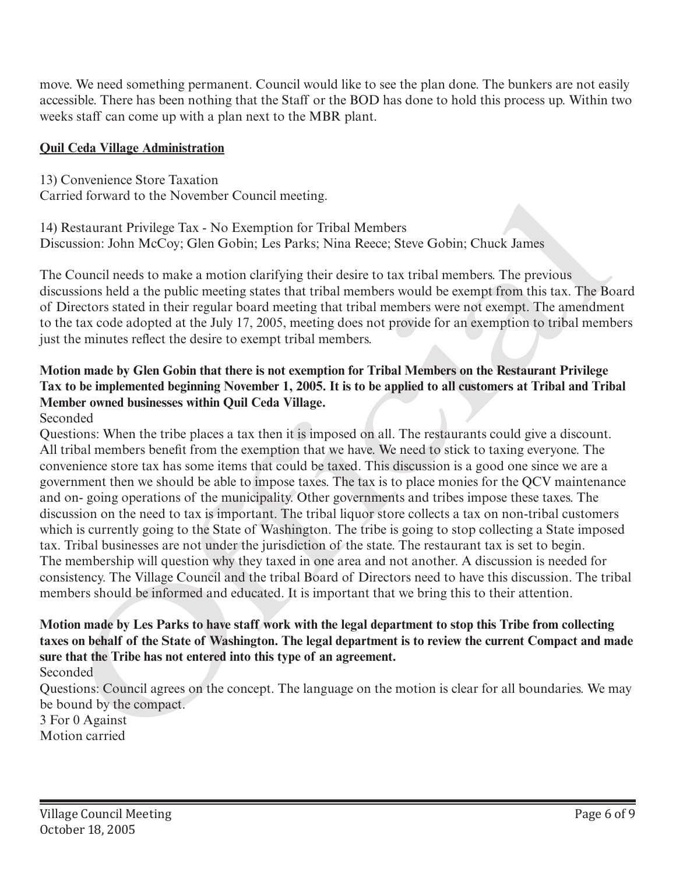move. We need something permanent. Council would like to see the plan done. The bunkers are not easily accessible. There has been nothing that the Staff or the BOD has done to hold this process up. Within two weeks staff can come up with a plan next to the MBR plant.

#### **Quil Ceda Village Administration**

13) Convenience Store Taxation Carried forward to the November Council meeting.

14) Restaurant Privilege Tax - No Exemption for Tribal Members Discussion: John McCoy; Glen Gobin; Les Parks; Nina Reece; Steve Gobin; Chuck James

The Council needs to make a motion clarifying their desire to tax tribal members. The previous discussions held a the public meeting states that tribal members would be exempt from this tax. The Board of Directors stated in their regular board meeting that tribal members were not exempt. The amendment to the tax code adopted at the July 17, 2005, meeting does not provide for an exemption to tribal members just the minutes reflect the desire to exempt tribal members.

## **Motion made by Glen Gobin that there is not exemption for Tribal Members on the Restaurant Privilege Tax to be implemented beginning November 1, 2005. It is to be applied to all customers at Tribal and Tribal Member owned businesses within Quil Ceda Village.**

## Seconded

Questions: When the tribe places a tax then it is imposed on all. The restaurants could give a discount. All tribal members benefit from the exemption that we have. We need to stick to taxing everyone. The convenience store tax has some items that could be taxed. This discussion is a good one since we are a government then we should be able to impose taxes. The tax is to place monies for the QCV maintenance and on- going operations of the municipality. Other governments and tribes impose these taxes. The discussion on the need to tax is important. The tribal liquor store collects a tax on non-tribal customers which is currently going to the State of Washington. The tribe is going to stop collecting a State imposed tax. Tribal businesses are not under the jurisdiction of the state. The restaurant tax is set to begin. The membership will question why they taxed in one area and not another. A discussion is needed for consistency. The Village Council and the tribal Board of Directors need to have this discussion. The tribal members should be informed and educated. It is important that we bring this to their attention. Carried totward to the November Council meeting.<br>Thi Restaurant Prividing Place Association for Tribial Members<br>This cassion is both McCoy; Glen Gobin; Les Parks; Nina Recce; Steve Gobin; Chuck James<br>The Council needs to m

# **Motion made by Les Parks to have staff work with the legal department to stop this Tribe from collecting taxes on behalf of the State of Washington. The legal department is to review the current Compact and made sure that the Tribe has not entered into this type of an agreement.**

Seconded

Questions: Council agrees on the concept. The language on the motion is clear for all boundaries. We may be bound by the compact.

3 For 0 Against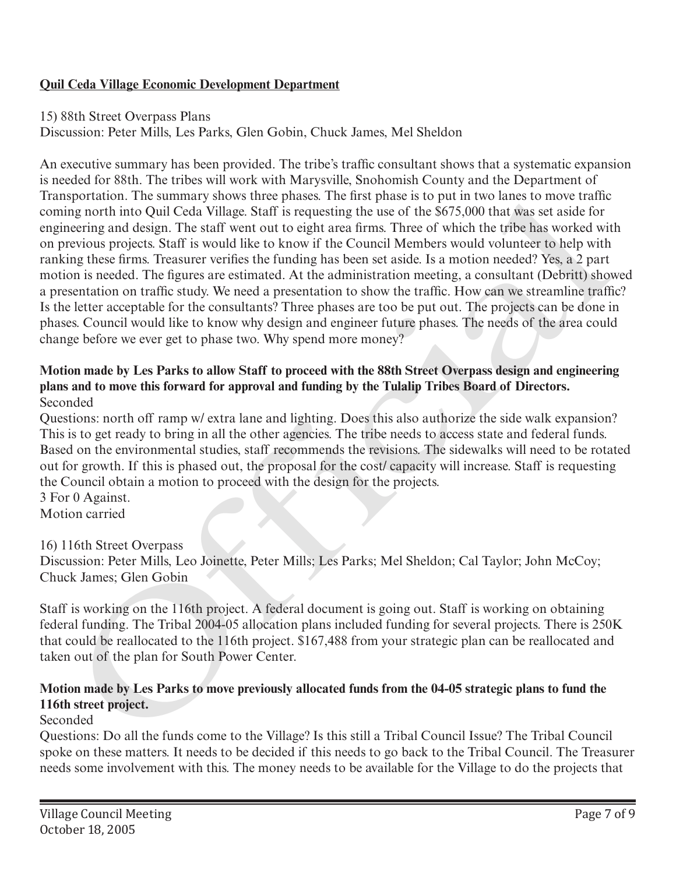## **Quil Ceda Village Economic Development Department**

15) 88th Street Overpass Plans

Discussion: Peter Mills, Les Parks, Glen Gobin, Chuck James, Mel Sheldon

An executive summary has been provided. The tribe's traffic consultant shows that a systematic expansion is needed for 88th. The tribes will work with Marysville, Snohomish County and the Department of Transportation. The summary shows three phases. The first phase is to put in two lanes to move traffic coming north into Quil Ceda Village. Staff is requesting the use of the \$675,000 that was set aside for engineering and design. The staff went out to eight area firms. Three of which the tribe has worked with on previous projects. Staff is would like to know if the Council Members would volunteer to help with ranking these firms. Treasurer verifies the funding has been set aside. Is a motion needed? Yes, a 2 part motion is needed. The figures are estimated. At the administration meeting, a consultant (Debritt) showed a presentation on traffic study. We need a presentation to show the traffic. How can we streamline traffic? Is the letter acceptable for the consultants? Three phases are too be put out. The projects can be done in phases. Council would like to know why design and engineer future phases. The needs of the area could change before we ever get to phase two. Why spend more money? sportation. Ine summary shows three pusases. The first phase is to put in two tans to move trame<br>eng north into Quil Ceda Village. Staff is requesting the use of the S675.000 that was set aside for<br>encering and design. The

#### **Motion made by Les Parks to allow Staff to proceed with the 88th Street Overpass design and engineering plans and to move this forward for approval and funding by the Tulalip Tribes Board of Directors.**  Seconded

Questions: north off ramp w/ extra lane and lighting. Does this also authorize the side walk expansion? This is to get ready to bring in all the other agencies. The tribe needs to access state and federal funds. Based on the environmental studies, staff recommends the revisions. The sidewalks will need to be rotated out for growth. If this is phased out, the proposal for the cost/ capacity will increase. Staff is requesting the Council obtain a motion to proceed with the design for the projects.

3 For 0 Against. Motion carried

## 16) 116th Street Overpass

Discussion: Peter Mills, Leo Joinette, Peter Mills; Les Parks; Mel Sheldon; Cal Taylor; John McCoy; Chuck James; Glen Gobin

Staff is working on the 116th project. A federal document is going out. Staff is working on obtaining federal funding. The Tribal 2004-05 allocation plans included funding for several projects. There is 250K that could be reallocated to the 116th project. \$167,488 from your strategic plan can be reallocated and taken out of the plan for South Power Center.

## **Motion made by Les Parks to move previously allocated funds from the 04-05 strategic plans to fund the 116th street project.**

## Seconded

Questions: Do all the funds come to the Village? Is this still a Tribal Council Issue? The Tribal Council spoke on these matters. It needs to be decided if this needs to go back to the Tribal Council. The Treasurer needs some involvement with this. The money needs to be available for the Village to do the projects that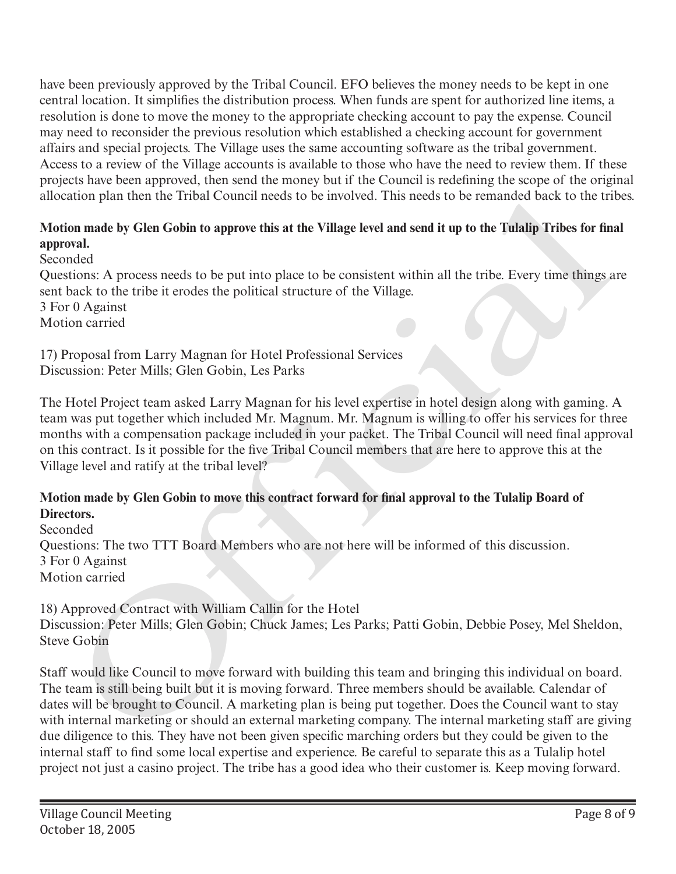have been previously approved by the Tribal Council. EFO believes the money needs to be kept in one central location. It simplifies the distribution process. When funds are spent for authorized line items, a resolution is done to move the money to the appropriate checking account to pay the expense. Council may need to reconsider the previous resolution which established a checking account for government affairs and special projects. The Village uses the same accounting software as the tribal government. Access to a review of the Village accounts is available to those who have the need to review them. If these projects have been approved, then send the money but if the Council is redefining the scope of the original allocation plan then the Tribal Council needs to be involved. This needs to be remanded back to the tribes.

## **Motion made by Glen Gobin to approve this at the Village level and send it up to the Tulalip Tribes for final approval.**

Seconded

Questions: A process needs to be put into place to be consistent within all the tribe. Every time things are sent back to the tribe it erodes the political structure of the Village. 3 For 0 Against Motion carried

17) Proposal from Larry Magnan for Hotel Professional Services Discussion: Peter Mills; Glen Gobin, Les Parks

The Hotel Project team asked Larry Magnan for his level expertise in hotel design along with gaming. A team was put together which included Mr. Magnum. Mr. Magnum is willing to offer his services for three months with a compensation package included in your packet. The Tribal Council will need final approval on this contract. Is it possible for the five Tribal Council members that are here to approve this at the Village level and ratify at the tribal level?

## **Motion made by Glen Gobin to move this contract forward for final approval to the Tulalip Board of Directors.**

Seconded Questions: The two TTT Board Members who are not here will be informed of this discussion. 3 For 0 Against Motion carried

18) Approved Contract with William Callin for the Hotel Discussion: Peter Mills; Glen Gobin; Chuck James; Les Parks; Patti Gobin, Debbie Posey, Mel Sheldon, Steve Gobin

Staff would like Council to move forward with building this team and bringing this individual on board. The team is still being built but it is moving forward. Three members should be available. Calendar of dates will be brought to Council. A marketing plan is being put together. Does the Council want to stay with internal marketing or should an external marketing company. The internal marketing staff are giving due diligence to this. They have not been given specific marching orders but they could be given to the internal staff to find some local expertise and experience. Be careful to separate this as a Tulalip hotel project not just a casino project. The tribe has a good idea who their customer is. Keep moving forward. ation pian then the Tribal Council needs to be involved. This needs to be remanded near to the Fri<br>
on made by Glen Gobin to approve this at the Village level and send it up to the Tulalip Tribes for the<br>
ord<br>
ord<br>
ord<br>
or